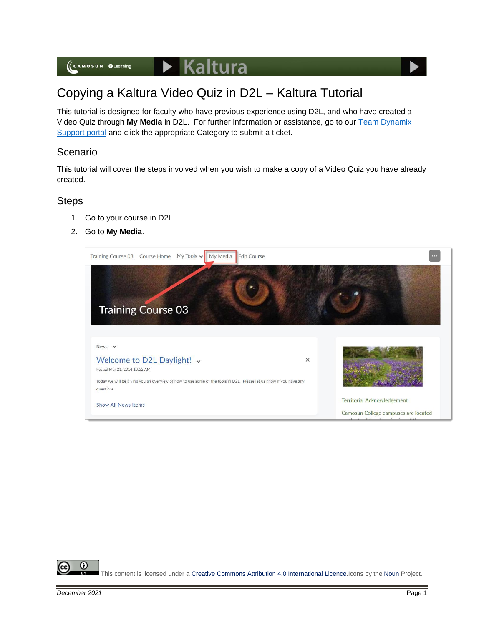## Copying a Kaltura Video Quiz in D2L – Kaltura Tutorial

This tutorial is designed for faculty who have previous experience using D2L, and who have created a Video Quiz through **My Media** in D2L. For further information or assistance, go to our [Team Dynamix](https://camosun.teamdynamix.com/TDClient/67/Portal/Requests/ServiceCatalog?CategoryID=523)  [Support portal](https://camosun.teamdynamix.com/TDClient/67/Portal/Requests/ServiceCatalog?CategoryID=523) and click the appropriate Category to submit a ticket.

## Scenario

This tutorial will cover the steps involved when you wish to make a copy of a Video Quiz you have already created.

## **Steps**

- 1. Go to your course in D2L.
- 2. Go to **My Media**.



⋒ This content is licensed under [a Creative Commons Attribution 4.0 International Licence.I](https://creativecommons.org/licenses/by/4.0/)cons by the [Noun](https://creativecommons.org/website-icons/) Project.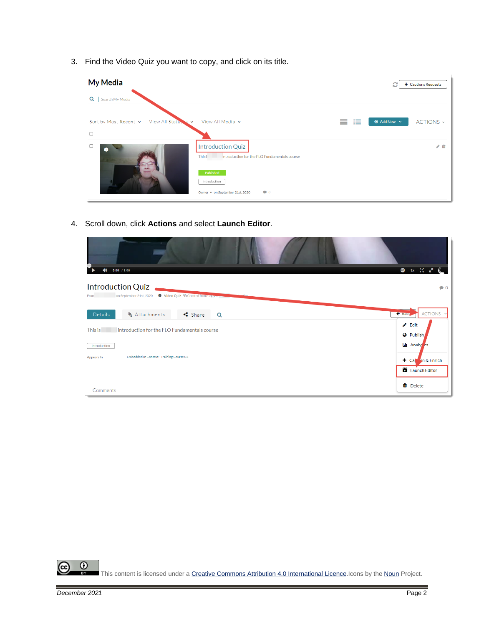3. Find the Video Quiz you want to copy, and click on its title.

| <b>My Media</b>                              |                                                                                                 |   | + Captions Requests<br>c |           |
|----------------------------------------------|-------------------------------------------------------------------------------------------------|---|--------------------------|-----------|
| Q<br>Search My Media                         |                                                                                                 |   |                          |           |
| Sort by Most Recent v<br>View All Status & v | View All Media v                                                                                | 挂 | $\odot$ Add New $\sim$   | ACTIONS ~ |
| $\Box$                                       |                                                                                                 |   |                          |           |
| ∙                                            | <b>Introduction Quiz</b><br>This i<br>Introduction for the FLO Fundamentals course<br>Published |   |                          | ◢ 血       |
|                                              | introduction<br>$\bullet$ 0<br>Owner • on September 21st, 2020                                  |   |                          |           |

4. Scroll down, click **Actions** and select **Launch Editor**.

| $0:00$ / 1:06<br>(b)                                                                                                | 图 1x 20 g <sup>m</sup>                                    |
|---------------------------------------------------------------------------------------------------------------------|-----------------------------------------------------------|
| <b>Introduction Quiz</b><br>Video Quiz <sup>C</sup> o Created from Copy on<br>on September 21st, 2020<br>From       | $\bullet$ 0                                               |
| $\leq$ Share<br><b>&amp; Attachments</b><br>Details<br>Q<br>introduction for the FLO Fundamentals course<br>This is | ACTIONS Y<br>← Back<br>$\triangle$ Edit                   |
| introduction<br>Embedded In Context - Training Course 03<br>Appears In                                              | <b>O</b> Publish<br>Lui Analy cs<br>$\pm$ Cap on & Enrich |
| Comments                                                                                                            | Launch Editor<br><b>m</b> Delete                          |

 $\overline{0}$ ඥ This content is licensed under [a Creative Commons Attribution 4.0 International Licence.I](https://creativecommons.org/licenses/by/4.0/)cons by the [Noun](https://creativecommons.org/website-icons/) Project.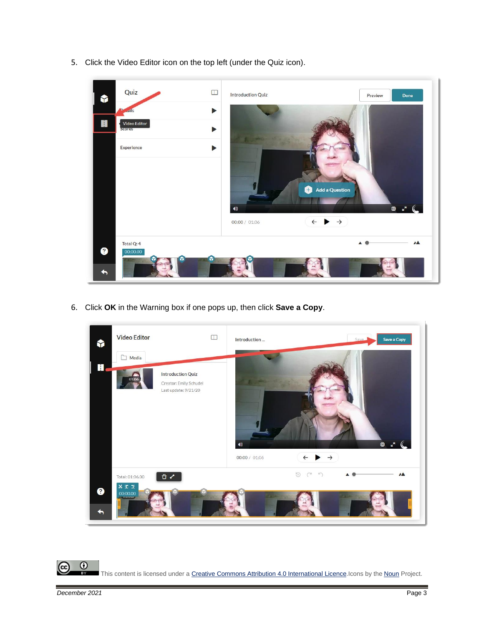5. Click the Video Editor icon on the top left (under the Quiz icon).



6. Click **OK** in the Warning box if one pops up, then click **Save a Copy**.



 $\overline{0}$ This content is licensed under [a Creative Commons Attribution 4.0 International Licence.I](https://creativecommons.org/licenses/by/4.0/)cons by the [Noun](https://creativecommons.org/website-icons/) Project.